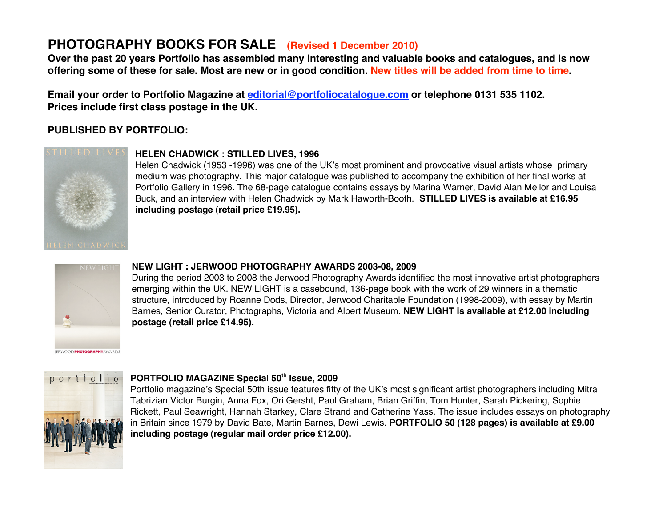# **PHOTOGRAPHY BOOKS FOR SALE (Revised 1 December 2010)**

**Over the past 20 years Portfolio has assembled many interesting and valuable books and catalogues, and is now offering some of these for sale. Most are new or in good condition. New titles will be added from time to time.**

**Email your order to Portfolio Magazine at editorial@portfoliocatalogue.com or telephone 0131 535 1102. Prices include first class postage in the UK.**

### **PUBLISHED BY PORTFOLIO:**



#### **HELEN CHADWICK : STILLED LIVES, 1996**

Helen Chadwick (1953 -1996) was one of the UK's most prominent and provocative visual artists whose primary medium was photography. This major catalogue was published to accompany the exhibition of her final works at Portfolio Gallery in 1996. The 68-page catalogue contains essays by Marina Warner, David Alan Mellor and Louisa Buck, and an interview with Helen Chadwick by Mark Haworth-Booth. **STILLED LIVES is available at £16.95 including postage (retail price £19.95).**



#### **NEW LIGHT : JERWOOD PHOTOGRAPHY AWARDS 2003-08, 2009**

During the period 2003 to 2008 the Jerwood Photography Awards identified the most innovative artist photographers emerging within the UK. NEW LIGHT is a casebound, 136-page book with the work of 29 winners in a thematic structure, introduced by Roanne Dods, Director, Jerwood Charitable Foundation (1998-2009), with essay by Martin Barnes, Senior Curator, Photographs, Victoria and Albert Museum. **NEW LIGHT is available at £12.00 including postage (retail price £14.95).**



#### **PORTFOLIO MAGAZINE Special 50th Issue, 2009**

Portfolio magazine's Special 50th issue features fifty of the UK's most significant artist photographers including Mitra Tabrizian,Victor Burgin, Anna Fox, Ori Gersht, Paul Graham, Brian Griffin, Tom Hunter, Sarah Pickering, Sophie Rickett, Paul Seawright, Hannah Starkey, Clare Strand and Catherine Yass. The issue includes essays on photography in Britain since 1979 by David Bate, Martin Barnes, Dewi Lewis. **PORTFOLIO 50 (128 pages) is available at £9.00 including postage (regular mail order price £12.00).**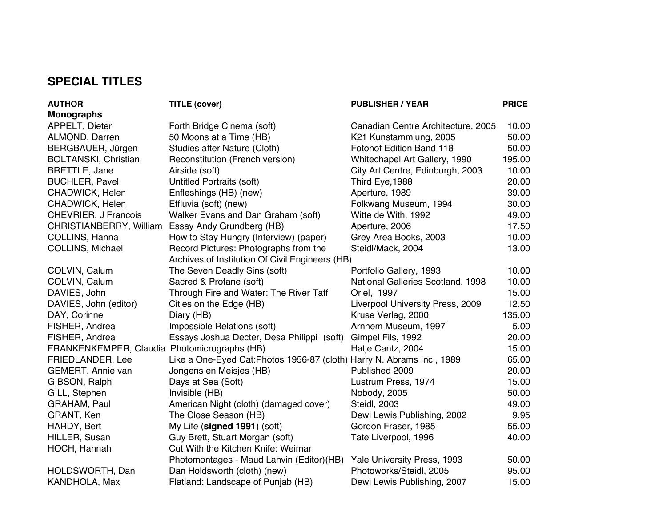## **SPECIAL TITLES**

| <b>AUTHOR</b>                                | <b>TITLE (cover)</b>                                                   | <b>PUBLISHER / YEAR</b>            | <b>PRICE</b> |
|----------------------------------------------|------------------------------------------------------------------------|------------------------------------|--------------|
| <b>Monographs</b>                            |                                                                        |                                    |              |
| APPELT, Dieter                               | Forth Bridge Cinema (soft)                                             | Canadian Centre Architecture, 2005 | 10.00        |
| ALMOND, Darren                               | 50 Moons at a Time (HB)                                                | K21 Kunstammlung, 2005             | 50.00        |
| BERGBAUER, Jürgen                            | Studies after Nature (Cloth)                                           | Fotohof Edition Band 118           | 50.00        |
| <b>BOLTANSKI, Christian</b>                  | Reconstitution (French version)                                        | Whitechapel Art Gallery, 1990      | 195.00       |
| <b>BRETTLE, Jane</b>                         | Airside (soft)                                                         | City Art Centre, Edinburgh, 2003   | 10.00        |
| <b>BUCHLER, Pavel</b>                        | Untitled Portraits (soft)                                              | Third Eye, 1988                    | 20.00        |
| CHADWICK, Helen                              | Enfleshings (HB) (new)                                                 | Aperture, 1989                     | 39.00        |
| CHADWICK, Helen                              | Effluvia (soft) (new)                                                  | Folkwang Museum, 1994              | 30.00        |
| CHEVRIER, J Francois                         | Walker Evans and Dan Graham (soft)                                     | Witte de With, 1992                | 49.00        |
| CHRISTIANBERRY, William                      | Essay Andy Grundberg (HB)                                              | Aperture, 2006                     | 17.50        |
| COLLINS, Hanna                               | How to Stay Hungry (Interview) (paper)                                 | Grey Area Books, 2003              | 10.00        |
| <b>COLLINS, Michael</b>                      | Record Pictures: Photographs from the                                  | Steidl/Mack, 2004                  | 13.00        |
|                                              | Archives of Institution Of Civil Engineers (HB)                        |                                    |              |
| COLVIN, Calum                                | The Seven Deadly Sins (soft)                                           | Portfolio Gallery, 1993            | 10.00        |
| COLVIN, Calum                                | Sacred & Profane (soft)                                                | National Galleries Scotland, 1998  | 10.00        |
| DAVIES, John                                 | Through Fire and Water: The River Taff                                 | Oriel, 1997                        | 15.00        |
| DAVIES, John (editor)                        | Cities on the Edge (HB)                                                | Liverpool University Press, 2009   | 12.50        |
| DAY, Corinne                                 | Diary (HB)                                                             | Kruse Verlag, 2000                 | 135.00       |
| FISHER, Andrea                               | Impossible Relations (soft)                                            | Arnhem Museum, 1997                | 5.00         |
| FISHER, Andrea                               | Essays Joshua Decter, Desa Philippi (soft)                             | Gimpel Fils, 1992                  | 20.00        |
| FRANKENKEMPER, Claudia Photomicrographs (HB) |                                                                        | Hatje Cantz, 2004                  | 15.00        |
| FRIEDLANDER, Lee                             | Like a One-Eyed Cat: Photos 1956-87 (cloth) Harry N. Abrams Inc., 1989 |                                    | 65.00        |
| GEMERT, Annie van                            | Jongens en Meisjes (HB)                                                | Published 2009                     | 20.00        |
| GIBSON, Ralph                                | Days at Sea (Soft)                                                     | Lustrum Press, 1974                | 15.00        |
| GILL, Stephen                                | Invisible (HB)                                                         | Nobody, 2005                       | 50.00        |
| GRAHAM, Paul                                 | American Night (cloth) (damaged cover)                                 | Steidl, 2003                       | 49.00        |
| GRANT, Ken                                   | The Close Season (HB)                                                  | Dewi Lewis Publishing, 2002        | 9.95         |
| HARDY, Bert                                  | My Life (signed 1991) (soft)                                           | Gordon Fraser, 1985                | 55.00        |
| HILLER, Susan                                | Guy Brett, Stuart Morgan (soft)                                        | Tate Liverpool, 1996               | 40.00        |
| HOCH, Hannah                                 | Cut With the Kitchen Knife: Weimar                                     |                                    |              |
|                                              | Photomontages - Maud Lanvin (Editor) (HB)                              | Yale University Press, 1993        | 50.00        |
| HOLDSWORTH, Dan                              | Dan Holdsworth (cloth) (new)                                           | Photoworks/Steidl, 2005            | 95.00        |
| KANDHOLA, Max                                | Flatland: Landscape of Punjab (HB)                                     | Dewi Lewis Publishing, 2007        | 15.00        |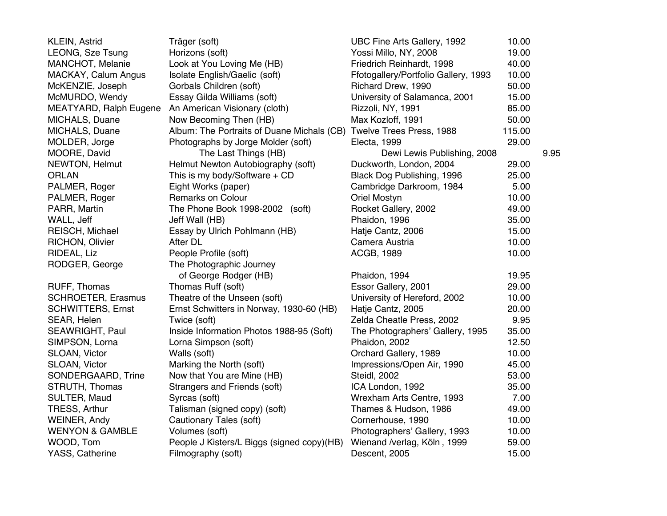| <b>KLEIN, Astrid</b>          | Träger (soft)                                                       | UBC Fine Arts Gallery, 1992          | 10.00  |      |
|-------------------------------|---------------------------------------------------------------------|--------------------------------------|--------|------|
| LEONG, Sze Tsung              | Horizons (soft)                                                     | Yossi Millo, NY, 2008                | 19.00  |      |
| MANCHOT, Melanie              | Look at You Loving Me (HB)                                          | Friedrich Reinhardt, 1998            | 40.00  |      |
| MACKAY, Calum Angus           | Isolate English/Gaelic (soft)                                       | Ffotogallery/Portfolio Gallery, 1993 | 10.00  |      |
| McKENZIE, Joseph              | Gorbals Children (soft)                                             | Richard Drew, 1990                   | 50.00  |      |
| McMURDO, Wendy                | Essay Gilda Williams (soft)                                         | University of Salamanca, 2001        | 15.00  |      |
| <b>MEATYARD, Ralph Eugene</b> | An American Visionary (cloth)                                       | Rizzoli, NY, 1991                    | 85.00  |      |
| MICHALS, Duane                | Now Becoming Then (HB)                                              | Max Kozloff, 1991                    | 50.00  |      |
| MICHALS, Duane                | Album: The Portraits of Duane Michals (CB) Twelve Trees Press, 1988 |                                      | 115.00 |      |
| MOLDER, Jorge                 | Photographs by Jorge Molder (soft)                                  | Electa, 1999                         | 29.00  |      |
| MOORE, David                  | The Last Things (HB)                                                | Dewi Lewis Publishing, 2008          |        | 9.95 |
| NEWTON, Helmut                | Helmut Newton Autobiography (soft)                                  | Duckworth, London, 2004              | 29.00  |      |
| <b>ORLAN</b>                  | This is my body/Software $+$ CD                                     | Black Dog Publishing, 1996           | 25.00  |      |
| PALMER, Roger                 | Eight Works (paper)                                                 | Cambridge Darkroom, 1984             | 5.00   |      |
| PALMER, Roger                 | Remarks on Colour                                                   | <b>Oriel Mostyn</b>                  | 10.00  |      |
| PARR, Martin                  | The Phone Book 1998-2002 (soft)                                     | Rocket Gallery, 2002                 | 49.00  |      |
| WALL, Jeff                    | Jeff Wall (HB)                                                      | Phaidon, 1996                        | 35.00  |      |
| REISCH, Michael               | Essay by Ulrich Pohlmann (HB)                                       | Hatje Cantz, 2006                    | 15.00  |      |
| RICHON, Olivier               | After DL                                                            | Camera Austria                       | 10.00  |      |
| RIDEAL, Liz                   | People Profile (soft)                                               | <b>ACGB, 1989</b>                    | 10.00  |      |
| RODGER, George                | The Photographic Journey                                            |                                      |        |      |
|                               | of George Rodger (HB)                                               | Phaidon, 1994                        | 19.95  |      |
| RUFF, Thomas                  | Thomas Ruff (soft)                                                  | Essor Gallery, 2001                  | 29.00  |      |
| <b>SCHROETER, Erasmus</b>     | Theatre of the Unseen (soft)                                        | University of Hereford, 2002         | 10.00  |      |
| <b>SCHWITTERS, Ernst</b>      | Ernst Schwitters in Norway, 1930-60 (HB)                            | Hatje Cantz, 2005                    | 20.00  |      |
| SEAR, Helen                   | Twice (soft)                                                        | Zelda Cheatle Press, 2002            | 9.95   |      |
| SEAWRIGHT, Paul               | Inside Information Photos 1988-95 (Soft)                            | The Photographers' Gallery, 1995     | 35.00  |      |
| SIMPSON, Lorna                | Lorna Simpson (soft)                                                | Phaidon, 2002                        | 12.50  |      |
| SLOAN, Victor                 | Walls (soft)                                                        | Orchard Gallery, 1989                | 10.00  |      |
| SLOAN, Victor                 | Marking the North (soft)                                            | Impressions/Open Air, 1990           | 45.00  |      |
| SONDERGAARD, Trine            | Now that You are Mine (HB)                                          | Steidl, 2002                         | 53.00  |      |
| STRUTH, Thomas                | Strangers and Friends (soft)                                        | ICA London, 1992                     | 35.00  |      |
| SULTER, Maud                  | Syrcas (soft)                                                       | Wrexham Arts Centre, 1993            | 7.00   |      |
| TRESS, Arthur                 | Talisman (signed copy) (soft)                                       | Thames & Hudson, 1986                | 49.00  |      |
| WEINER, Andy                  | Cautionary Tales (soft)                                             | Cornerhouse, 1990                    | 10.00  |      |
| <b>WENYON &amp; GAMBLE</b>    | Volumes (soft)                                                      | Photographers' Gallery, 1993         | 10.00  |      |
| WOOD, Tom                     | People J Kisters/L Biggs (signed copy)(HB)                          | Wienand /verlag, Köln, 1999          | 59.00  |      |
| YASS, Catherine               | Filmography (soft)                                                  | Descent, 2005                        | 15.00  |      |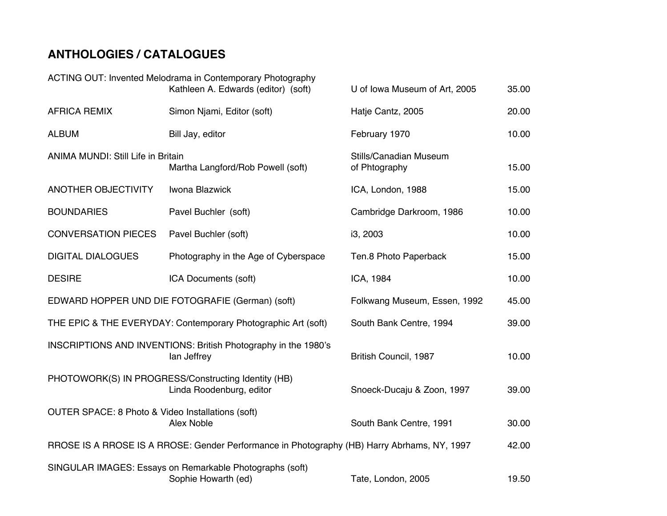## **ANTHOLOGIES / CATALOGUES**

|                                                                                                               | ACTING OUT: Invented Melodrama in Contemporary Photography                      |                                                |       |
|---------------------------------------------------------------------------------------------------------------|---------------------------------------------------------------------------------|------------------------------------------------|-------|
|                                                                                                               | Kathleen A. Edwards (editor) (soft)                                             | U of Iowa Museum of Art, 2005                  | 35.00 |
| <b>AFRICA REMIX</b>                                                                                           | Simon Njami, Editor (soft)                                                      | Hatje Cantz, 2005                              | 20.00 |
| <b>ALBUM</b>                                                                                                  | Bill Jay, editor                                                                | February 1970                                  | 10.00 |
| <b>ANIMA MUNDI: Still Life in Britain</b><br>Martha Langford/Rob Powell (soft)                                |                                                                                 | <b>Stills/Canadian Museum</b><br>of Phtography | 15.00 |
| <b>ANOTHER OBJECTIVITY</b>                                                                                    | Iwona Blazwick                                                                  | ICA, London, 1988                              | 15.00 |
| <b>BOUNDARIES</b>                                                                                             | Pavel Buchler (soft)                                                            | Cambridge Darkroom, 1986                       | 10.00 |
| <b>CONVERSATION PIECES</b>                                                                                    | Pavel Buchler (soft)                                                            | i3, 2003                                       | 10.00 |
| <b>DIGITAL DIALOGUES</b>                                                                                      | Photography in the Age of Cyberspace                                            | Ten.8 Photo Paperback                          | 15.00 |
| <b>DESIRE</b>                                                                                                 | ICA Documents (soft)                                                            | ICA, 1984                                      | 10.00 |
| EDWARD HOPPER UND DIE FOTOGRAFIE (German) (soft)                                                              |                                                                                 | Folkwang Museum, Essen, 1992                   | 45.00 |
| THE EPIC & THE EVERYDAY: Contemporary Photographic Art (soft)                                                 | South Bank Centre, 1994                                                         | 39.00                                          |       |
|                                                                                                               | INSCRIPTIONS AND INVENTIONS: British Photography in the 1980's<br>lan Jeffrey   | British Council, 1987                          | 10.00 |
| PHOTOWORK(S) IN PROGRESS/Constructing Identity (HB)<br>Linda Roodenburg, editor<br>Snoeck-Ducaju & Zoon, 1997 |                                                                                 |                                                |       |
| OUTER SPACE: 8 Photo & Video Installations (soft)<br><b>Alex Noble</b><br>South Bank Centre, 1991             |                                                                                 |                                                | 30.00 |
| RROSE IS A RROSE IS A RROSE: Gender Performance in Photography (HB) Harry Abrhams, NY, 1997                   |                                                                                 |                                                | 42.00 |
|                                                                                                               | SINGULAR IMAGES: Essays on Remarkable Photographs (soft)<br>Sophie Howarth (ed) | Tate, London, 2005                             | 19.50 |